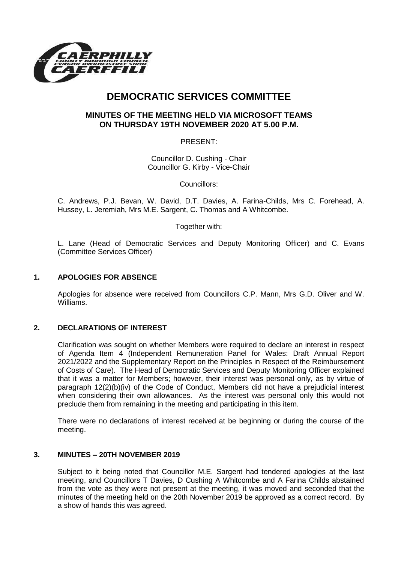

# **DEMOCRATIC SERVICES COMMITTEE**

## **MINUTES OF THE MEETING HELD VIA MICROSOFT TEAMS ON THURSDAY 19TH NOVEMBER 2020 AT 5.00 P.M.**

PRESENT:

Councillor D. Cushing - Chair Councillor G. Kirby - Vice-Chair

Councillors:

C. Andrews, P.J. Bevan, W. David, D.T. Davies, A. Farina-Childs, Mrs C. Forehead, A. Hussey, L. Jeremiah, Mrs M.E. Sargent, C. Thomas and A Whitcombe.

Together with:

L. Lane (Head of Democratic Services and Deputy Monitoring Officer) and C. Evans (Committee Services Officer)

### **1. APOLOGIES FOR ABSENCE**

Apologies for absence were received from Councillors C.P. Mann, Mrs G.D. Oliver and W. Williams.

### **2. DECLARATIONS OF INTEREST**

Clarification was sought on whether Members were required to declare an interest in respect of Agenda Item 4 (Independent Remuneration Panel for Wales: Draft Annual Report 2021/2022 and the Supplementary Report on the Principles in Respect of the Reimbursement of Costs of Care). The Head of Democratic Services and Deputy Monitoring Officer explained that it was a matter for Members; however, their interest was personal only, as by virtue of paragraph 12(2)(b)(iv) of the Code of Conduct, Members did not have a prejudicial interest when considering their own allowances. As the interest was personal only this would not preclude them from remaining in the meeting and participating in this item.

There were no declarations of interest received at be beginning or during the course of the meeting.

### **3. MINUTES – 20TH NOVEMBER 2019**

Subject to it being noted that Councillor M.E. Sargent had tendered apologies at the last meeting, and Councillors T Davies, D Cushing A Whitcombe and A Farina Childs abstained from the vote as they were not present at the meeting, it was moved and seconded that the minutes of the meeting held on the 20th November 2019 be approved as a correct record. By a show of hands this was agreed.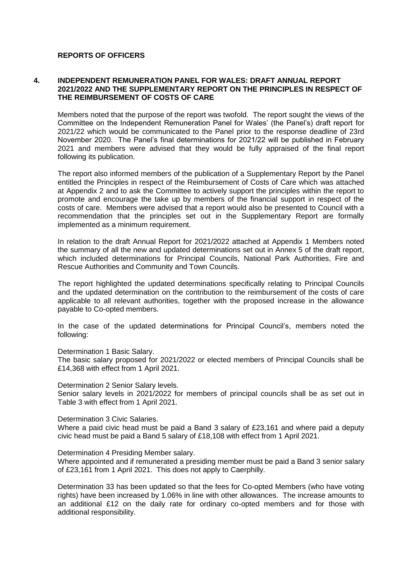#### **REPORTS OF OFFICERS**

#### **4. INDEPENDENT REMUNERATION PANEL FOR WALES: DRAFT ANNUAL REPORT 2021/2022 AND THE SUPPLEMENTARY REPORT ON THE PRINCIPLES IN RESPECT OF THE REIMBURSEMENT OF COSTS OF CARE**

Members noted that the purpose of the report was twofold. The report sought the views of the Committee on the Independent Remuneration Panel for Wales' (the Panel's) draft report for 2021/22 which would be communicated to the Panel prior to the response deadline of 23rd November 2020. The Panel's final determinations for 2021/22 will be published in February 2021 and members were advised that they would be fully appraised of the final report following its publication.

The report also informed members of the publication of a Supplementary Report by the Panel entitled the Principles in respect of the Reimbursement of Costs of Care which was attached at Appendix 2 and to ask the Committee to actively support the principles within the report to promote and encourage the take up by members of the financial support in respect of the costs of care. Members were advised that a report would also be presented to Council with a recommendation that the principles set out in the Supplementary Report are formally implemented as a minimum requirement.

In relation to the draft Annual Report for 2021/2022 attached at Appendix 1 Members noted the summary of all the new and updated determinations set out in Annex 5 of the draft report, which included determinations for Principal Councils, National Park Authorities, Fire and Rescue Authorities and Community and Town Councils.

The report highlighted the updated determinations specifically relating to Principal Councils and the updated determination on the contribution to the reimbursement of the costs of care applicable to all relevant authorities, together with the proposed increase in the allowance payable to Co-opted members.

In the case of the updated determinations for Principal Council's, members noted the following:

Determination 1 Basic Salary.

The basic salary proposed for 2021/2022 or elected members of Principal Councils shall be £14,368 with effect from 1 April 2021.

Determination 2 Senior Salary levels. Senior salary levels in 2021/2022 for members of principal councils shall be as set out in Table 3 with effect from 1 April 2021.

Determination 3 Civic Salaries.

Where a paid civic head must be paid a Band 3 salary of £23,161 and where paid a deputy civic head must be paid a Band 5 salary of £18,108 with effect from 1 April 2021.

Determination 4 Presiding Member salary.

Where appointed and if remunerated a presiding member must be paid a Band 3 senior salary of £23,161 from 1 April 2021. This does not apply to Caerphilly.

Determination 33 has been updated so that the fees for Co-opted Members (who have voting rights) have been increased by 1.06% in line with other allowances. The increase amounts to an additional £12 on the daily rate for ordinary co-opted members and for those with additional responsibility.